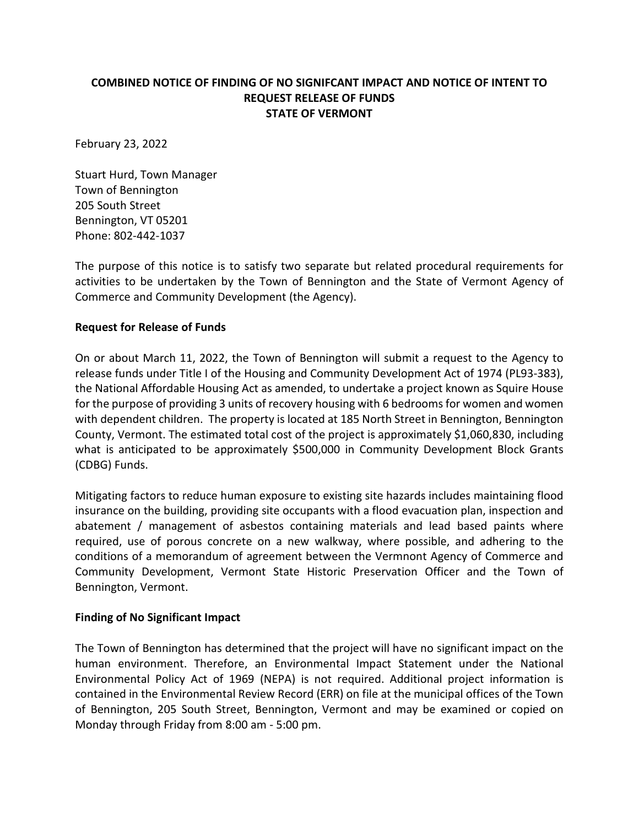# **COMBINED NOTICE OF FINDING OF NO SIGNIFCANT IMPACT AND NOTICE OF INTENT TO REQUEST RELEASE OF FUNDS STATE OF VERMONT**

February 23, 2022

Stuart Hurd, Town Manager Town of Bennington 205 South Street Bennington, VT 05201 Phone: 802-442-1037

The purpose of this notice is to satisfy two separate but related procedural requirements for activities to be undertaken by the Town of Bennington and the State of Vermont Agency of Commerce and Community Development (the Agency).

### **Request for Release of Funds**

On or about March 11, 2022, the Town of Bennington will submit a request to the Agency to release funds under Title I of the Housing and Community Development Act of 1974 (PL93-383), the National Affordable Housing Act as amended, to undertake a project known as Squire House for the purpose of providing 3 units of recovery housing with 6 bedrooms for women and women with dependent children. The property is located at 185 North Street in Bennington, Bennington County, Vermont. The estimated total cost of the project is approximately \$1,060,830, including what is anticipated to be approximately \$500,000 in Community Development Block Grants (CDBG) Funds.

Mitigating factors to reduce human exposure to existing site hazards includes maintaining flood insurance on the building, providing site occupants with a flood evacuation plan, inspection and abatement / management of asbestos containing materials and lead based paints where required, use of porous concrete on a new walkway, where possible, and adhering to the conditions of a memorandum of agreement between the Vermnont Agency of Commerce and Community Development, Vermont State Historic Preservation Officer and the Town of Bennington, Vermont.

#### **Finding of No Significant Impact**

The Town of Bennington has determined that the project will have no significant impact on the human environment. Therefore, an Environmental Impact Statement under the National Environmental Policy Act of 1969 (NEPA) is not required. Additional project information is contained in the Environmental Review Record (ERR) on file at the municipal offices of the Town of Bennington, 205 South Street, Bennington, Vermont and may be examined or copied on Monday through Friday from 8:00 am - 5:00 pm.